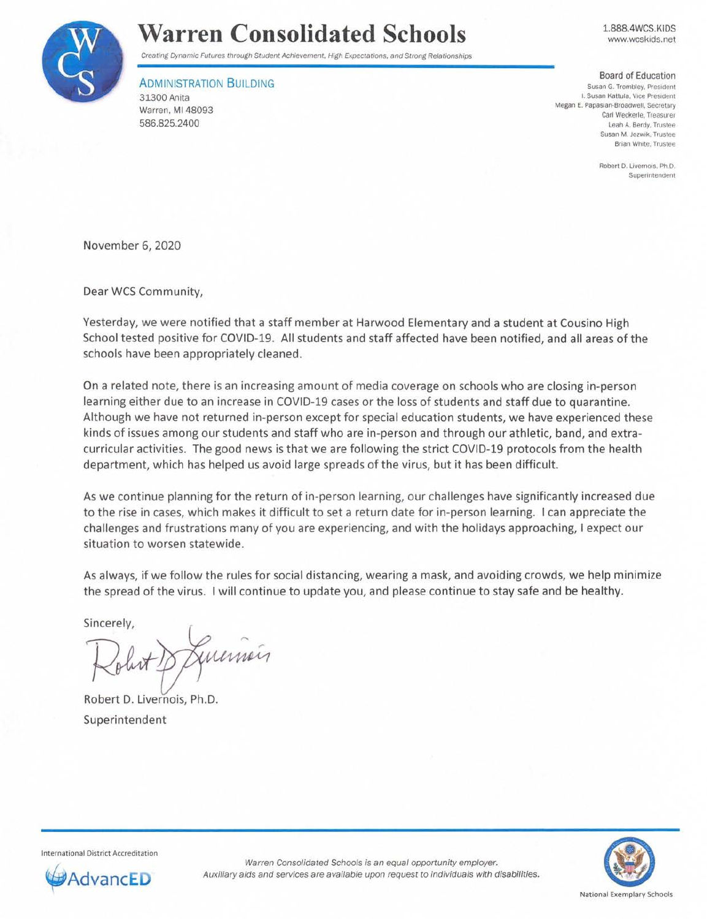

## **Warren Consolidated Schools**

Creating Dynamic Futures through Student Achievement. High Expectations. and Strong Relationships

**ADMINISTRATION BUILDING** 

31300 Anita Warren, Ml 48093 586.825.2400

Board of Education Susan G. Trombley. President I. **Susan Kattula, Vice President**  Megan E. Papasian-Broadwell. Secretary Carl Weckerle. Treasurer

1.888.4WCS.KIDS www.wcskids.net

Robert D. Livernois. Ph.D. **Superintendent** 

Leah A. Berdy. Trustee Susan M. Jozwik. Trustee **Brian White. Trustee** 

November 6, 2020

Dear WCS Community,

Yesterday, we were notified that a staff member at Harwood Elementary and a student at Cousino High School tested positive for COVID-19. All students and staff affected have been notified, and all areas of the schools have been appropriately cleaned.

On a related note, there is an increasing amount of media coverage on schools who are closing in-person learning either due to an increase in COVID-19 cases or the loss of students and staff due to quarantine. Although we have not returned in-person except for special education students, we have experienced these kinds of issues among our students and staff who are in-person and through our athletic, band, and extracurricular activities. The good news is that we are following the strict COVID-19 protocols from the health department, which has helped us avoid large spreads of the virus, but it has been difficult.

As we continue planning for the return of in-person learning, our challenges have significantly increased due to the rise in cases, which makes it difficult to set a return date for in-person learning. I can appreciate the challenges and frustrations many of you are experiencing, and with the holidays approaching, I expect our situation to worsen statewide.

As always, if we follow the rules for social distancing, wearing a mask, and avoiding crowds, we help minimize the spread of the virus. I will continue to update you, and please continue to stay safe and be healthy.

Sincerely,

Guernin

Robert D. Livernois, Ph.D. Superintendent

International District Accreditation



Warren Consolidated Schools is an equal opportunity employer. **dvancED** Auxiliary aids and services are available upon request to individuals with disabilities.